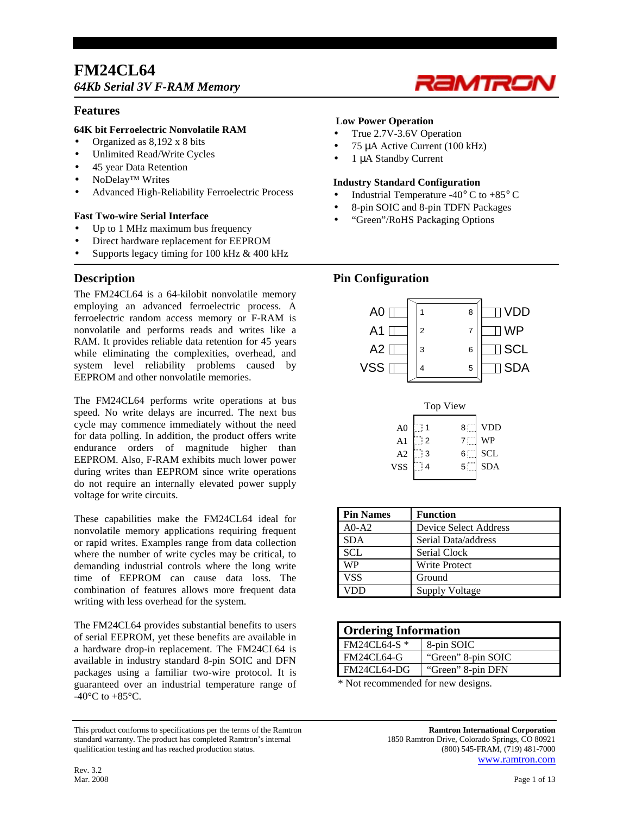# **FM24CL64**  *64Kb Serial 3V F-RAM Memory*

# **Features**

# **64K bit Ferroelectric Nonvolatile RAM**

- Organized as 8,192 x 8 bits
- Unlimited Read/Write Cycles
- 45 year Data Retention
- NoDelay™ Writes
- Advanced High-Reliability Ferroelectric Process

## **Fast Two-wire Serial Interface**

- Up to 1 MHz maximum bus frequency
- Direct hardware replacement for EEPROM
- Supports legacy timing for 100 kHz & 400 kHz

# **Description**

The FM24CL64 is a 64-kilobit nonvolatile memory employing an advanced ferroelectric process. A ferroelectric random access memory or F-RAM is nonvolatile and performs reads and writes like a RAM. It provides reliable data retention for 45 years while eliminating the complexities, overhead, and system level reliability problems caused by EEPROM and other nonvolatile memories.

The FM24CL64 performs write operations at bus speed. No write delays are incurred. The next bus cycle may commence immediately without the need for data polling. In addition, the product offers write endurance orders of magnitude higher than EEPROM. Also, F-RAM exhibits much lower power during writes than EEPROM since write operations do not require an internally elevated power supply voltage for write circuits.

These capabilities make the FM24CL64 ideal for nonvolatile memory applications requiring frequent or rapid writes. Examples range from data collection where the number of write cycles may be critical, to demanding industrial controls where the long write time of EEPROM can cause data loss. The combination of features allows more frequent data writing with less overhead for the system.

The FM24CL64 provides substantial benefits to users of serial EEPROM, yet these benefits are available in a hardware drop-in replacement. The FM24CL64 is available in industry standard 8-pin SOIC and DFN packages using a familiar two-wire protocol. It is guaranteed over an industrial temperature range of -40 $^{\circ}$ C to +85 $^{\circ}$ C.

This product conforms to specifications per the terms of the Ramtron **Ramtron International Corporation** standard warranty. The product has completed Ramtron's internal 1850 Ramtron Drive, Colorado Springs, CO 80921 qualification testing and has reached production status. (800) 545-FRAM, (719) 481-7000

## **Low Power Operation**

- True 2.7V-3.6V Operation
- 75 µA Active Current (100 kHz)
- 1 µA Standby Current

#### **Industry Standard Configuration**

Industrial Temperature -40 $\degree$  C to +85 $\degree$  C

RaMTRO

- 8-pin SOIC and 8-pin TDFN Packages
- "Green"/RoHS Packaging Options

# **Pin Configuration**



|                |   | Top View       |            |
|----------------|---|----------------|------------|
| A <sub>0</sub> |   | 8              | VDD        |
| A <sub>1</sub> | 2 |                | WP         |
| A2             | 3 | 6 ∶            | <b>SCL</b> |
| VSS            |   | 5 <sup>1</sup> | <b>SDA</b> |
|                |   |                |            |

| <b>Pin Names</b> | <b>Function</b>              |
|------------------|------------------------------|
| $A0-A2$          | <b>Device Select Address</b> |
| <b>SDA</b>       | Serial Data/address          |
| <b>SCL</b>       | Serial Clock                 |
| <b>WP</b>        | <b>Write Protect</b>         |
| <b>VSS</b>       | Ground                       |
|                  | Supply Voltage               |

| <b>Ordering Information</b>            |                    |  |  |  |
|----------------------------------------|--------------------|--|--|--|
| FM24CL64-S *                           | 8-pin SOIC         |  |  |  |
| FM24CL64-G                             | "Green" 8-pin SOIC |  |  |  |
| FM24CL64-DG                            | "Green" 8-pin DFN  |  |  |  |
| $\mathbf{a}$ $\mathbf{b}$ $\mathbf{r}$ |                    |  |  |  |

\* Not recommended for new designs.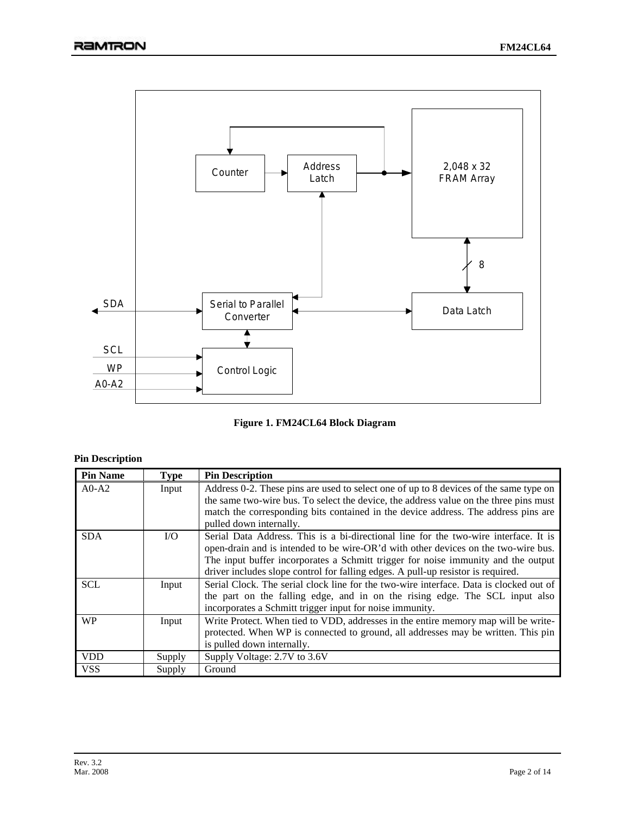



# **Pin Description**

| <b>Pin Name</b> | <b>Type</b> | <b>Pin Description</b>                                                                 |
|-----------------|-------------|----------------------------------------------------------------------------------------|
| $A0-A2$         | Input       | Address 0-2. These pins are used to select one of up to 8 devices of the same type on  |
|                 |             | the same two-wire bus. To select the device, the address value on the three pins must  |
|                 |             | match the corresponding bits contained in the device address. The address pins are     |
|                 |             | pulled down internally.                                                                |
| <b>SDA</b>      | I/O         | Serial Data Address. This is a bi-directional line for the two-wire interface. It is   |
|                 |             | open-drain and is intended to be wire-OR'd with other devices on the two-wire bus.     |
|                 |             | The input buffer incorporates a Schmitt trigger for noise immunity and the output      |
|                 |             | driver includes slope control for falling edges. A pull-up resistor is required.       |
| <b>SCL</b>      | Input       | Serial Clock. The serial clock line for the two-wire interface. Data is clocked out of |
|                 |             | the part on the falling edge, and in on the rising edge. The SCL input also            |
|                 |             | incorporates a Schmitt trigger input for noise immunity.                               |
| <b>WP</b>       | Input       | Write Protect. When tied to VDD, addresses in the entire memory map will be write-     |
|                 |             | protected. When WP is connected to ground, all addresses may be written. This pin      |
|                 |             | is pulled down internally.                                                             |
| <b>VDD</b>      | Supply      | Supply Voltage: 2.7V to 3.6V                                                           |
| <b>VSS</b>      | Supply      | Ground                                                                                 |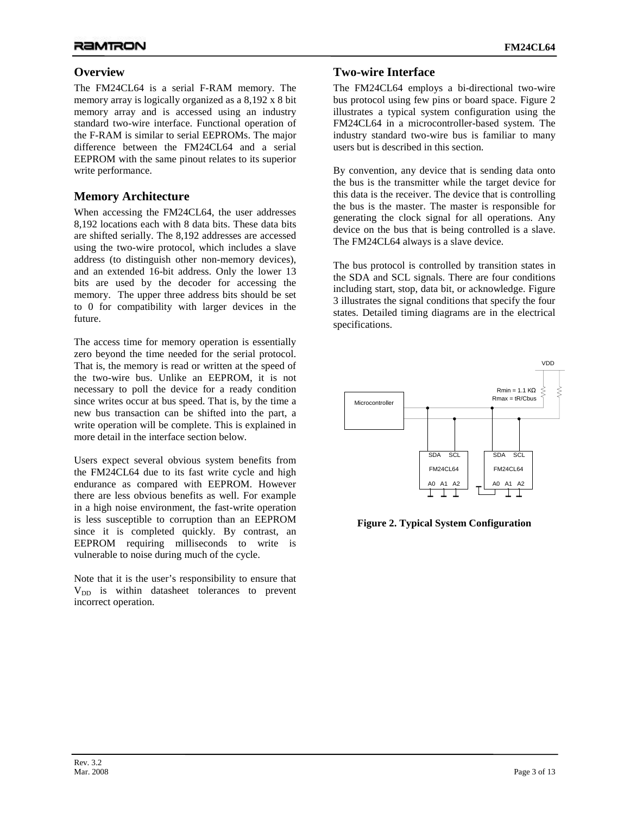# **Overview**

The FM24CL64 is a serial F-RAM memory. The memory array is logically organized as a 8,192 x 8 bit memory array and is accessed using an industry standard two-wire interface. Functional operation of the F-RAM is similar to serial EEPROMs. The major difference between the FM24CL64 and a serial EEPROM with the same pinout relates to its superior write performance.

# **Memory Architecture**

When accessing the FM24CL64, the user addresses 8,192 locations each with 8 data bits. These data bits are shifted serially. The 8,192 addresses are accessed using the two-wire protocol, which includes a slave address (to distinguish other non-memory devices), and an extended 16-bit address. Only the lower 13 bits are used by the decoder for accessing the memory. The upper three address bits should be set to 0 for compatibility with larger devices in the future.

The access time for memory operation is essentially zero beyond the time needed for the serial protocol. That is, the memory is read or written at the speed of the two-wire bus. Unlike an EEPROM, it is not necessary to poll the device for a ready condition since writes occur at bus speed. That is, by the time a new bus transaction can be shifted into the part, a write operation will be complete. This is explained in more detail in the interface section below.

Users expect several obvious system benefits from the FM24CL64 due to its fast write cycle and high endurance as compared with EEPROM. However there are less obvious benefits as well. For example in a high noise environment, the fast-write operation is less susceptible to corruption than an EEPROM since it is completed quickly. By contrast, an EEPROM requiring milliseconds to write is vulnerable to noise during much of the cycle.

Note that it is the user's responsibility to ensure that  $V_{DD}$  is within datasheet tolerances to prevent incorrect operation.

# **Two-wire Interface**

The FM24CL64 employs a bi-directional two-wire bus protocol using few pins or board space. Figure 2 illustrates a typical system configuration using the FM24CL64 in a microcontroller-based system. The industry standard two-wire bus is familiar to many users but is described in this section.

By convention, any device that is sending data onto the bus is the transmitter while the target device for this data is the receiver. The device that is controlling the bus is the master. The master is responsible for generating the clock signal for all operations. Any device on the bus that is being controlled is a slave. The FM24CL64 always is a slave device.

The bus protocol is controlled by transition states in the SDA and SCL signals. There are four conditions including start, stop, data bit, or acknowledge. Figure 3 illustrates the signal conditions that specify the four states. Detailed timing diagrams are in the electrical specifications.



**Figure 2. Typical System Configuration**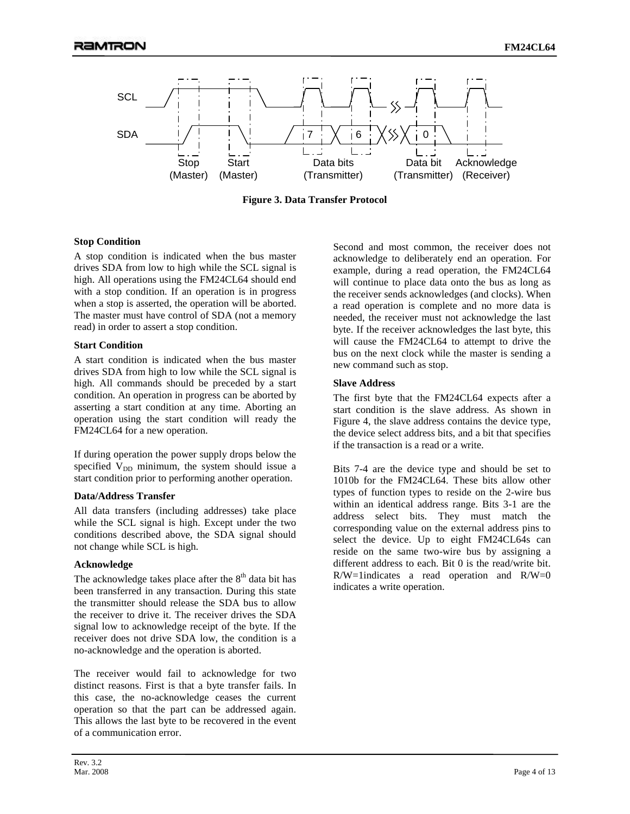

**Figure 3. Data Transfer Protocol** 

#### **Stop Condition**

A stop condition is indicated when the bus master drives SDA from low to high while the SCL signal is high. All operations using the FM24CL64 should end with a stop condition. If an operation is in progress when a stop is asserted, the operation will be aborted. The master must have control of SDA (not a memory read) in order to assert a stop condition.

#### **Start Condition**

A start condition is indicated when the bus master drives SDA from high to low while the SCL signal is high. All commands should be preceded by a start condition. An operation in progress can be aborted by asserting a start condition at any time. Aborting an operation using the start condition will ready the FM24CL64 for a new operation.

If during operation the power supply drops below the specified  $V_{DD}$  minimum, the system should issue a start condition prior to performing another operation.

#### **Data/Address Transfer**

All data transfers (including addresses) take place while the SCL signal is high. Except under the two conditions described above, the SDA signal should not change while SCL is high.

## **Acknowledge**

The acknowledge takes place after the  $8<sup>th</sup>$  data bit has been transferred in any transaction. During this state the transmitter should release the SDA bus to allow the receiver to drive it. The receiver drives the SDA signal low to acknowledge receipt of the byte. If the receiver does not drive SDA low, the condition is a no-acknowledge and the operation is aborted.

The receiver would fail to acknowledge for two distinct reasons. First is that a byte transfer fails. In this case, the no-acknowledge ceases the current operation so that the part can be addressed again. This allows the last byte to be recovered in the event of a communication error.

Second and most common, the receiver does not acknowledge to deliberately end an operation. For example, during a read operation, the FM24CL64 will continue to place data onto the bus as long as the receiver sends acknowledges (and clocks). When a read operation is complete and no more data is needed, the receiver must not acknowledge the last byte. If the receiver acknowledges the last byte, this will cause the FM24CL64 to attempt to drive the bus on the next clock while the master is sending a new command such as stop.

#### **Slave Address**

The first byte that the FM24CL64 expects after a start condition is the slave address. As shown in Figure 4, the slave address contains the device type, the device select address bits, and a bit that specifies if the transaction is a read or a write.

Bits 7-4 are the device type and should be set to 1010b for the FM24CL64. These bits allow other types of function types to reside on the 2-wire bus within an identical address range. Bits 3-1 are the address select bits. They must match the corresponding value on the external address pins to select the device. Up to eight FM24CL64s can reside on the same two-wire bus by assigning a different address to each. Bit 0 is the read/write bit.  $R/W=1$  indicates a read operation and  $R/W=0$ indicates a write operation.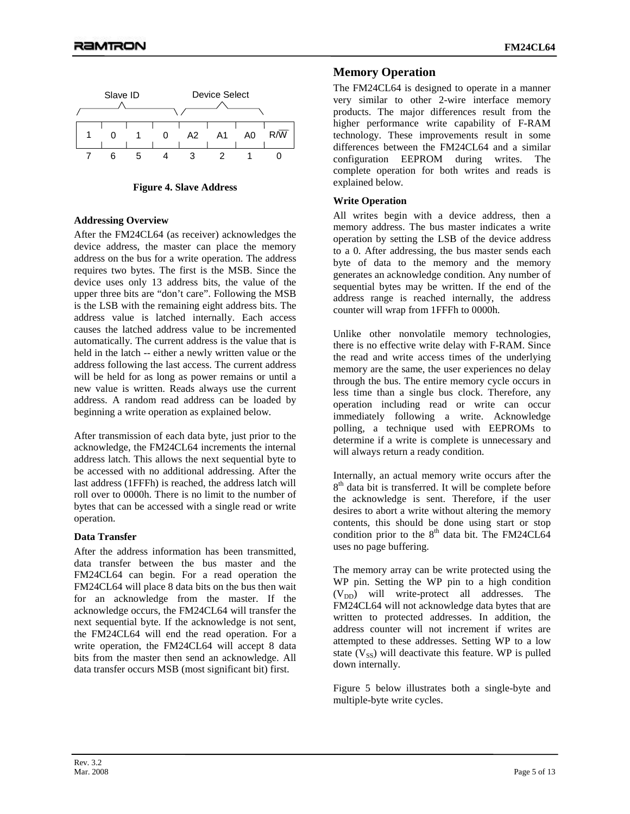

**Figure 4. Slave Address** 

## **Addressing Overview**

After the FM24CL64 (as receiver) acknowledges the device address, the master can place the memory address on the bus for a write operation. The address requires two bytes. The first is the MSB. Since the device uses only 13 address bits, the value of the upper three bits are "don't care". Following the MSB is the LSB with the remaining eight address bits. The address value is latched internally. Each access causes the latched address value to be incremented automatically. The current address is the value that is held in the latch -- either a newly written value or the address following the last access. The current address will be held for as long as power remains or until a new value is written. Reads always use the current address. A random read address can be loaded by beginning a write operation as explained below.

After transmission of each data byte, just prior to the acknowledge, the FM24CL64 increments the internal address latch. This allows the next sequential byte to be accessed with no additional addressing. After the last address (1FFFh) is reached, the address latch will roll over to 0000h. There is no limit to the number of bytes that can be accessed with a single read or write operation.

## **Data Transfer**

After the address information has been transmitted, data transfer between the bus master and the FM24CL64 can begin. For a read operation the FM24CL64 will place 8 data bits on the bus then wait for an acknowledge from the master. If the acknowledge occurs, the FM24CL64 will transfer the next sequential byte. If the acknowledge is not sent, the FM24CL64 will end the read operation. For a write operation, the FM24CL64 will accept 8 data bits from the master then send an acknowledge. All data transfer occurs MSB (most significant bit) first.

# **Memory Operation**

The FM24CL64 is designed to operate in a manner very similar to other 2-wire interface memory products. The major differences result from the higher performance write capability of F-RAM technology. These improvements result in some differences between the FM24CL64 and a similar configuration EEPROM during writes. The complete operation for both writes and reads is explained below.

## **Write Operation**

All writes begin with a device address, then a memory address. The bus master indicates a write operation by setting the LSB of the device address to a 0. After addressing, the bus master sends each byte of data to the memory and the memory generates an acknowledge condition. Any number of sequential bytes may be written. If the end of the address range is reached internally, the address counter will wrap from 1FFFh to 0000h.

Unlike other nonvolatile memory technologies, there is no effective write delay with F-RAM. Since the read and write access times of the underlying memory are the same, the user experiences no delay through the bus. The entire memory cycle occurs in less time than a single bus clock. Therefore, any operation including read or write can occur immediately following a write. Acknowledge polling, a technique used with EEPROMs to determine if a write is complete is unnecessary and will always return a ready condition.

Internally, an actual memory write occurs after the  $8<sup>th</sup>$  data bit is transferred. It will be complete before the acknowledge is sent. Therefore, if the user desires to abort a write without altering the memory contents, this should be done using start or stop condition prior to the  $8<sup>th</sup>$  data bit. The FM24CL64 uses no page buffering.

The memory array can be write protected using the WP pin. Setting the WP pin to a high condition  $(V_{DD})$  will write-protect all addresses. The FM24CL64 will not acknowledge data bytes that are written to protected addresses. In addition, the address counter will not increment if writes are attempted to these addresses. Setting WP to a low state  $(V_{SS})$  will deactivate this feature. WP is pulled down internally.

Figure 5 below illustrates both a single-byte and multiple-byte write cycles.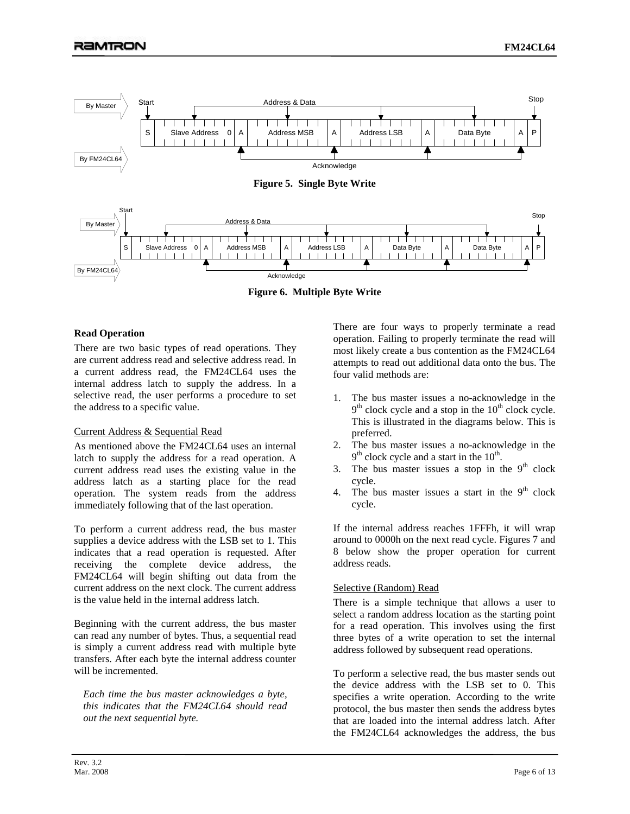

**Figure 6. Multiple Byte Write** 

# **Read Operation**

There are two basic types of read operations. They are current address read and selective address read. In a current address read, the FM24CL64 uses the internal address latch to supply the address. In a selective read, the user performs a procedure to set the address to a specific value.

## Current Address & Sequential Read

As mentioned above the FM24CL64 uses an internal latch to supply the address for a read operation. A current address read uses the existing value in the address latch as a starting place for the read operation. The system reads from the address immediately following that of the last operation.

To perform a current address read, the bus master supplies a device address with the LSB set to 1. This indicates that a read operation is requested. After receiving the complete device address, the FM24CL64 will begin shifting out data from the current address on the next clock. The current address is the value held in the internal address latch.

Beginning with the current address, the bus master can read any number of bytes. Thus, a sequential read is simply a current address read with multiple byte transfers. After each byte the internal address counter will be incremented.

*Each time the bus master acknowledges a byte, this indicates that the FM24CL64 should read out the next sequential byte.*

There are four ways to properly terminate a read operation. Failing to properly terminate the read will most likely create a bus contention as the FM24CL64 attempts to read out additional data onto the bus. The four valid methods are:

- 1. The bus master issues a no-acknowledge in the  $9<sup>th</sup>$  clock cycle and a stop in the  $10<sup>th</sup>$  clock cycle. This is illustrated in the diagrams below. This is preferred.
- 2. The bus master issues a no-acknowledge in the  $9<sup>th</sup>$  clock cycle and a start in the  $10<sup>th</sup>$ .
- 3. The bus master issues a stop in the  $9<sup>th</sup>$  clock cycle.
- 4. The bus master issues a start in the  $9<sup>th</sup>$  clock cycle.

If the internal address reaches 1FFFh, it will wrap around to 0000h on the next read cycle. Figures 7 and 8 below show the proper operation for current address reads.

## Selective (Random) Read

There is a simple technique that allows a user to select a random address location as the starting point for a read operation. This involves using the first three bytes of a write operation to set the internal address followed by subsequent read operations.

To perform a selective read, the bus master sends out the device address with the LSB set to 0. This specifies a write operation. According to the write protocol, the bus master then sends the address bytes that are loaded into the internal address latch. After the FM24CL64 acknowledges the address, the bus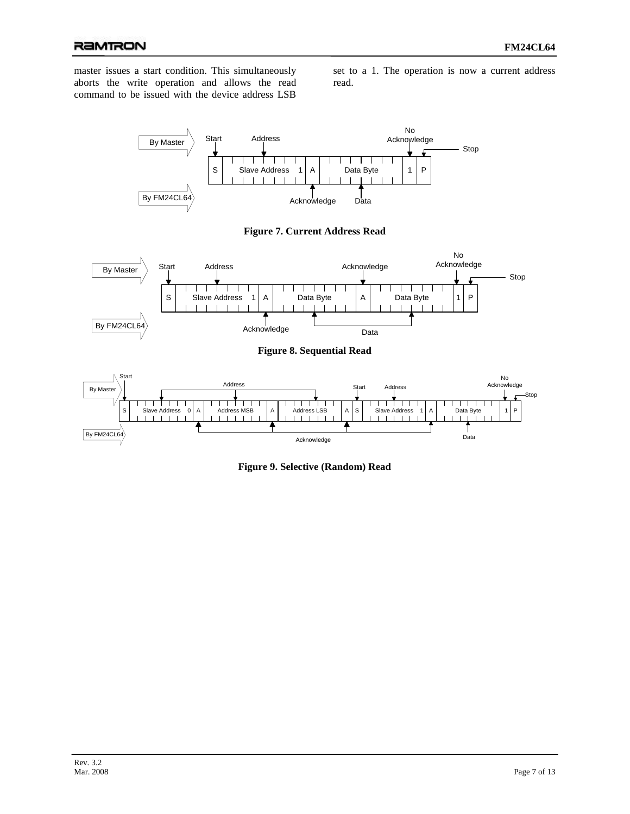# RAMTRON

master issues a start condition. This simultaneously aborts the write operation and allows the read command to be issued with the device address LSB

set to a 1. The operation is now a current address read.



**Figure 7. Current Address Read** 



**Figure 8. Sequential Read**



**Figure 9. Selective (Random) Read**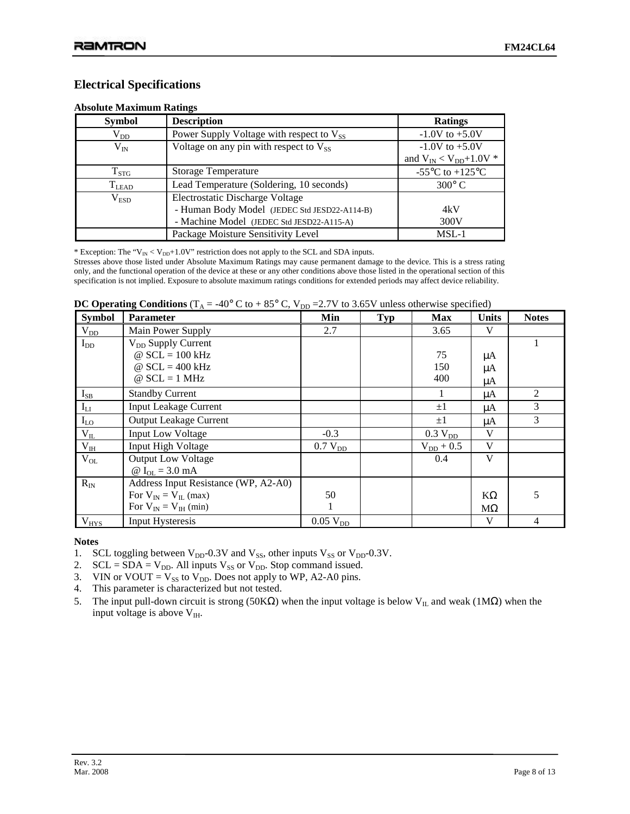# **Electrical Specifications**

| <b>Symbol</b>      | <b>Description</b>                            | <b>Ratings</b>                                        |
|--------------------|-----------------------------------------------|-------------------------------------------------------|
| $\rm V_{DD}$       | Power Supply Voltage with respect to $V_{SS}$ | $-1.0V$ to $+5.0V$                                    |
| $\rm V_{IN}$       | Voltage on any pin with respect to $V_{SS}$   | $-1.0V$ to $+5.0V$                                    |
|                    |                                               | and $V_{IN} < V_{DD} + 1.0V$ *                        |
| $\mathrm{T_{STG}}$ | <b>Storage Temperature</b>                    | -55 $\mathrm{^{\circ}C}$ to +125 $\mathrm{^{\circ}C}$ |
| $T_{LEAD}$         | Lead Temperature (Soldering, 10 seconds)      | $300^{\circ}$ C                                       |
| $\rm V_{ESD}$      | Electrostatic Discharge Voltage               |                                                       |
|                    | - Human Body Model (JEDEC Std JESD22-A114-B)  | 4kV                                                   |
|                    | - Machine Model (JEDEC Std JESD22-A115-A)     | 300V                                                  |
|                    | Package Moisture Sensitivity Level            | $MSL-1$                                               |

#### **Absolute Maximum Ratings**

\* Exception: The " $V_{IN}$  <  $V_{DD}$ +1.0V" restriction does not apply to the SCL and SDA inputs.

Stresses above those listed under Absolute Maximum Ratings may cause permanent damage to the device. This is a stress rating only, and the functional operation of the device at these or any other conditions above those listed in the operational section of this specification is not implied. Exposure to absolute maximum ratings conditions for extended periods may affect device reliability.

| <b>DC Operating Conditions</b> ( $T_A = -40^\circ$ C to $+ 85^\circ$ C, $V_{DD} = 2.7V$ to 3.65V unless otherwise specified) |  |
|------------------------------------------------------------------------------------------------------------------------------|--|
|------------------------------------------------------------------------------------------------------------------------------|--|

| <b>Symbol</b> | <b>Parameter</b>                     | Min             | <b>Typ</b> | <b>Max</b>          | <b>Units</b> | <b>Notes</b>   |
|---------------|--------------------------------------|-----------------|------------|---------------------|--------------|----------------|
| $V_{DD}$      | Main Power Supply                    | 2.7             |            | 3.65                | V            |                |
| $I_{DD}$      | V <sub>DD</sub> Supply Current       |                 |            |                     |              |                |
|               | $\omega$ SCL = 100 kHz               |                 |            | 75                  | μA           |                |
|               | @ $SCL = 400$ kHz                    |                 |            | 150                 | μA           |                |
|               | $@$ SCL = 1 MHz                      |                 |            | 400                 | μA           |                |
| $I_{SB}$      | <b>Standby Current</b>               |                 |            |                     | μA           | $\overline{2}$ |
| $I_{LI}$      | <b>Input Leakage Current</b>         |                 |            | $\pm 1$             | μA           | 3              |
| $I_{LO}$      | <b>Output Leakage Current</b>        |                 |            | $\pm 1$             | μA           | 3              |
| $V_{IL}$      | <b>Input Low Voltage</b>             | $-0.3$          |            | 0.3 V <sub>DD</sub> | V            |                |
| $V_{I\!H}$    | <b>Input High Voltage</b>            | $0.7 V_{DD}$    |            | $V_{DD}$ + 0.5      | V            |                |
| $V_{OL}$      | <b>Output Low Voltage</b>            |                 |            | 0.4                 | V            |                |
|               | @ $I_{OL} = 3.0$ mA                  |                 |            |                     |              |                |
| $R_{\rm IN}$  | Address Input Resistance (WP, A2-A0) |                 |            |                     |              |                |
|               | For $V_{IN} = V_{IL}$ (max)          | 50              |            |                     | $K\Omega$    | 5              |
|               | For $V_{IN} = V_{IH}$ (min)          |                 |            |                     | $M\Omega$    |                |
| $V_{HYS}$     | Input Hysteresis                     | $0.05$ $V_{DD}$ |            |                     | V            | 4              |

## **Notes**

- 1. SCL toggling between  $V_{DD}$ -0.3V and  $V_{SS}$ , other inputs  $V_{SS}$  or  $V_{DD}$ -0.3V.
- 2.  $SCL = SDA = V_{DD}$ . All inputs  $V_{SS}$  or  $V_{DD}$ . Stop command issued.
- 3. VIN or VOUT =  $V_{SS}$  to  $V_{DD}$ . Does not apply to WP, A2-A0 pins.
- 4. This parameter is characterized but not tested.
- 5. The input pull-down circuit is strong (50KΩ) when the input voltage is below V<sub>IL</sub> and weak (1MΩ) when the input voltage is above  $V_{IH}$ .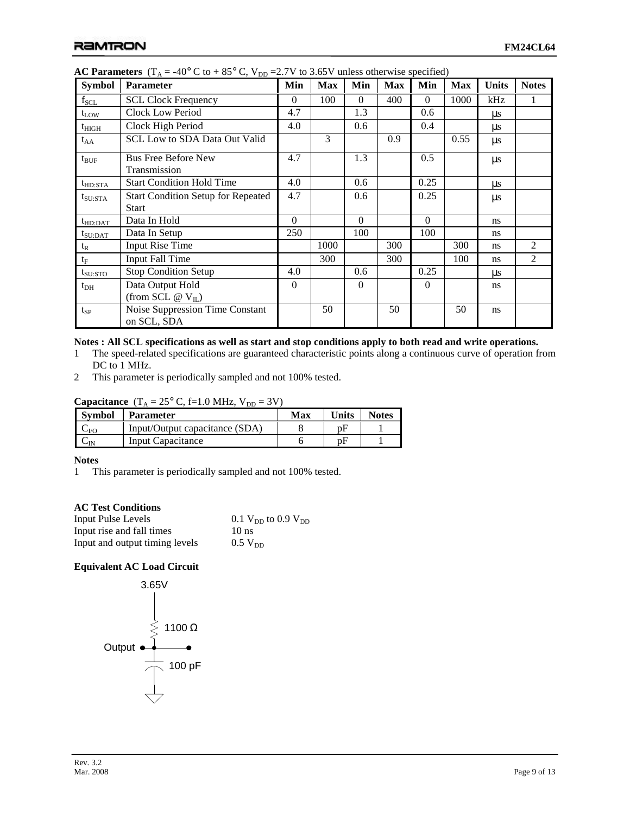| <b>Symbol</b>       | <b>Parameter</b>                                          | Min      | <b>Max</b> | Min      | <b>Max</b> | Min      | <b>Max</b> | <b>Units</b>  | <b>Notes</b>   |
|---------------------|-----------------------------------------------------------|----------|------------|----------|------------|----------|------------|---------------|----------------|
| $f_{\rm SCL}$       | <b>SCL Clock Frequency</b>                                | $\theta$ | 100        | $\Omega$ | 400        | $\Omega$ | 1000       | kHz           |                |
| $t_{LOW}$           | <b>Clock Low Period</b>                                   | 4.7      |            | 1.3      |            | 0.6      |            | $\mu$ s       |                |
| $t_{\rm HIGH}$      | Clock High Period                                         | 4.0      |            | 0.6      |            | 0.4      |            | $\mu$ s       |                |
| $t_{AA}$            | <b>SCL Low to SDA Data Out Valid</b>                      |          | 3          |          | 0.9        |          | 0.55       | $\mu s$       |                |
| $t_{\text{BUF}}$    | <b>Bus Free Before New</b><br>Transmission                |          |            | 1.3      |            | 0.5      |            | $\mu s$       |                |
| $t_{HD:STA}$        | <b>Start Condition Hold Time</b>                          | 4.0      |            | 0.6      |            | 0.25     |            | $\mu$ s       |                |
| $t_{\text{SU:STA}}$ | <b>Start Condition Setup for Repeated</b><br><b>Start</b> | 4.7      |            | 0.6      |            | 0.25     |            | $\mu s$       |                |
| $t_{HD:DAT}$        | Data In Hold                                              | $\Omega$ |            | $\Omega$ |            | $\Omega$ |            | ns            |                |
| $t_{\rm SU:DAT}$    | Data In Setup                                             | 250      |            | 100      |            | 100      |            | <sub>ns</sub> |                |
| $t_{R}$             | <b>Input Rise Time</b>                                    |          | 1000       |          | 300        |          | 300        | ns            | 2              |
| $t_F$               | <b>Input Fall Time</b>                                    |          | 300        |          | 300        |          | 100        | ns            | $\overline{2}$ |
| $t_{\rm SU:STO}$    | <b>Stop Condition Setup</b>                               | 4.0      |            | 0.6      |            | 0.25     |            | $\mu$ s       |                |
| $t_{DH}$            | Data Output Hold<br>(from SCL $@V_{IL}$ )                 | $\Omega$ |            | $\Omega$ |            | $\Omega$ |            | ns            |                |
| $t_{SP}$            | Noise Suppression Time Constant<br>on SCL, SDA            |          | 50         |          | 50         |          | 50         | ns            |                |

**AC Parameters**  $(T_A = -40^\circ \text{ C to } +85^\circ \text{ C}, V_{DD} = 2.7 \text{ V to } 3.65 \text{ V unless otherwise specified})$ 

## **Notes : All SCL specifications as well as start and stop conditions apply to both read and write operations.**

- 1 The speed-related specifications are guaranteed characteristic points along a continuous curve of operation from DC to 1 MHz.
- 2 This parameter is periodically sampled and not 100% tested.

# **Capacitance**  $(T_A = 25^\circ \text{ C}, \text{f=1.0 MHz}, V_{DD} = 3\text{ V})$

| Symbol        | <b>Parameter</b>               | Max | <b>Units</b> | <b>Notes</b> |
|---------------|--------------------------------|-----|--------------|--------------|
| $-V$ $\Omega$ | Input/Output capacitance (SDA) |     | nŀ           |              |
| -IN           | Input Capacitance              |     | nH           |              |

## **Notes**

1 This parameter is periodically sampled and not 100% tested.

# **AC Test Conditions**

| <b>Input Pulse Levels</b>      | 0.1 $V_{DD}$ to 0.9 $V_{DD}$ |
|--------------------------------|------------------------------|
| Input rise and fall times      | $10$ ns                      |
| Input and output timing levels | $0.5 V_{DD}$                 |

# **Equivalent AC Load Circuit**

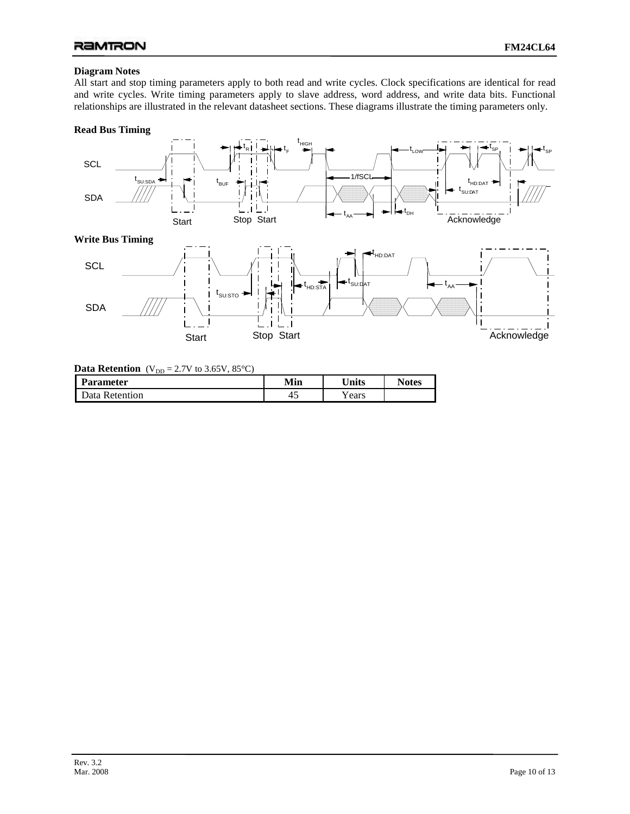## **Diagram Notes**

All start and stop timing parameters apply to both read and write cycles. Clock specifications are identical for read and write cycles. Write timing parameters apply to slave address, word address, and write data bits. Functional relationships are illustrated in the relevant datasheet sections. These diagrams illustrate the timing parameters only.

## **Read Bus Timing**



## **Data Retention** ( $V_{DD} = 2.7V$  to 3.65V, 85°C)

| Parameter      | Min | $\mathbf{v}_{\text{links}}$ | <b>Notes</b> |
|----------------|-----|-----------------------------|--------------|
| Data Retention | ≁~  | ears                        |              |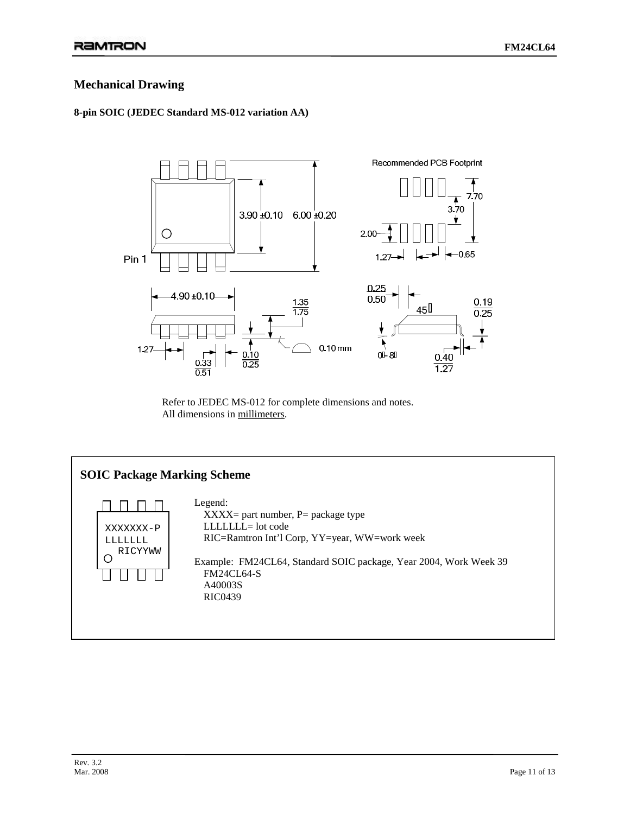# **Mechanical Drawing**

# **8-pin SOIC (JEDEC Standard MS-012 variation AA)**



Refer to JEDEC MS-012 for complete dimensions and notes. All dimensions in millimeters.

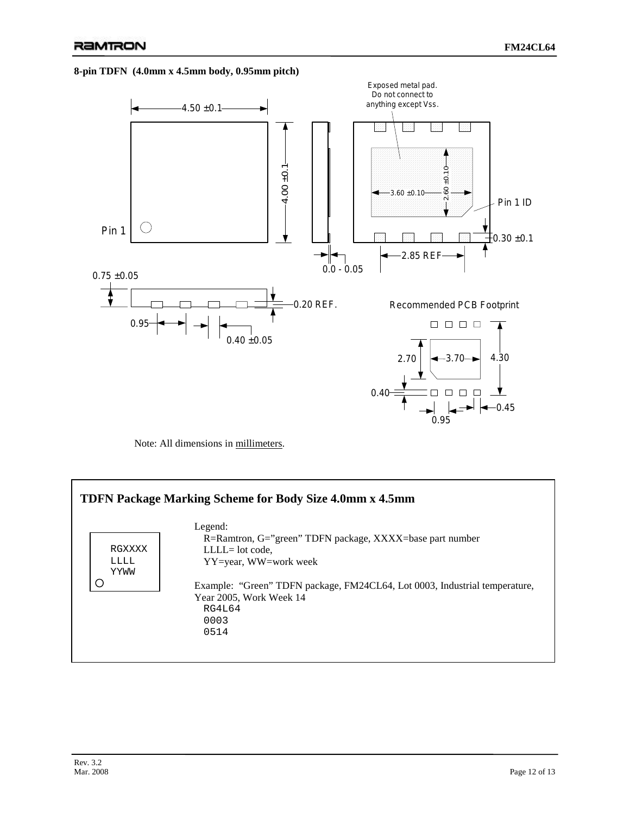#### **8-pin TDFN (4.0mm x 4.5mm body, 0.95mm pitch)**